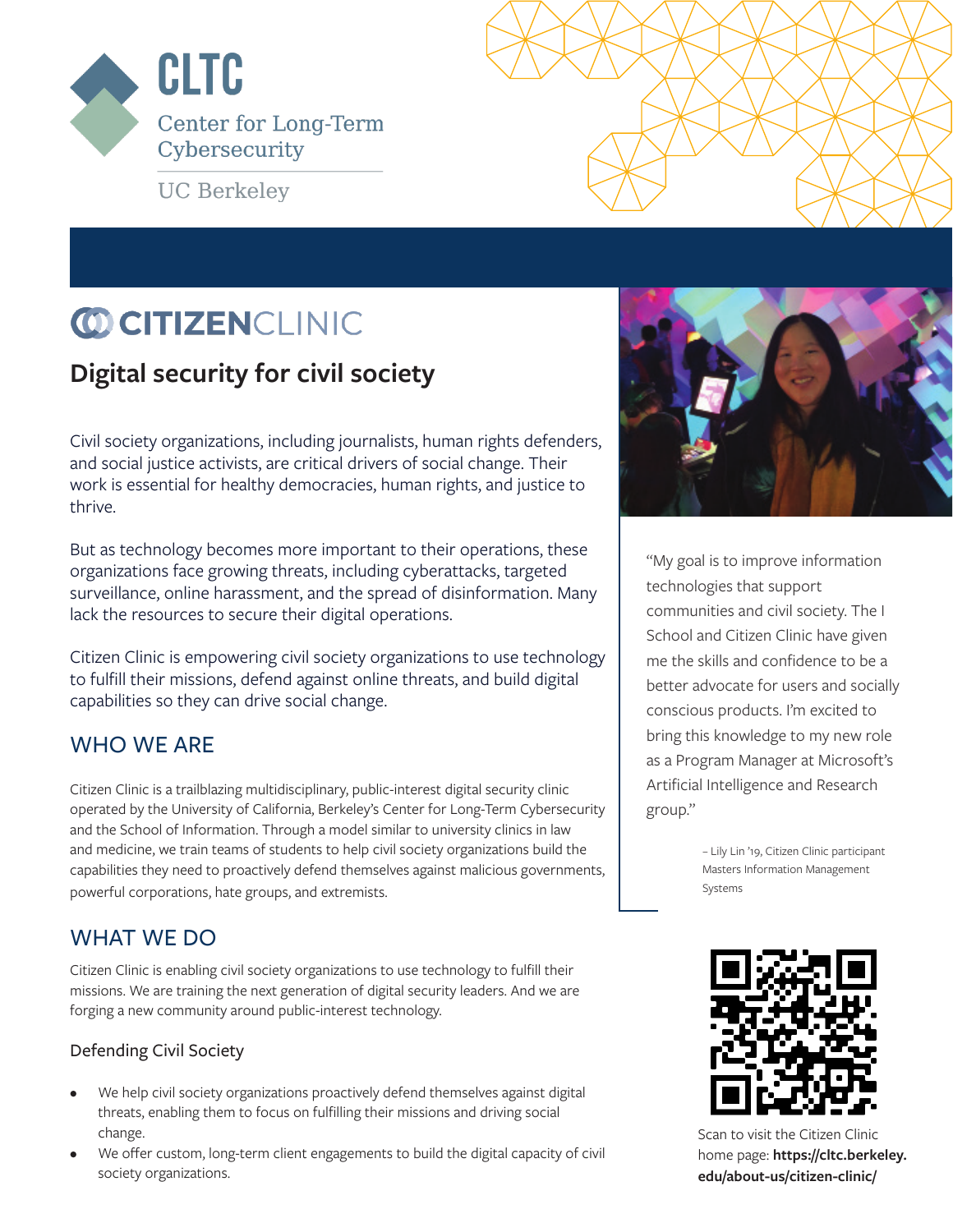

**UC Berkeley** 

# **CO CITIZENCLINIC**

## **Digital security for civil society**

Civil society organizations, including journalists, human rights defenders, and social justice activists, are critical drivers of social change. Their work is essential for healthy democracies, human rights, and justice to thrive.

But as technology becomes more important to their operations, these organizations face growing threats, including cyberattacks, targeted surveillance, online harassment, and the spread of disinformation. Many lack the resources to secure their digital operations.

Citizen Clinic is empowering civil society organizations to use technology to fulfill their missions, defend against online threats, and build digital capabilities so they can drive social change.

## WHO WE ARE

Citizen Clinic is a trailblazing multidisciplinary, public-interest digital security clinic operated by the University of California, Berkeley's Center for Long-Term Cybersecurity and the School of Information. Through a model similar to university clinics in law and medicine, we train teams of students to help civil society organizations build the capabilities they need to proactively defend themselves against malicious governments, powerful corporations, hate groups, and extremists.

## WHAT WE DO

Citizen Clinic is enabling civil society organizations to use technology to fulfill their missions. We are training the next generation of digital security leaders. And we are forging a new community around public-interest technology.

#### Defending Civil Society

- We help civil society organizations proactively defend themselves against digital threats, enabling them to focus on fulfilling their missions and driving social change.
- We offer custom, long-term client engagements to build the digital capacity of civil society organizations.



"My goal is to improve information technologies that support communities and civil society. The I School and Citizen Clinic have given me the skills and confidence to be a better advocate for users and socially conscious products. I'm excited to bring this knowledge to my new role as a Program Manager at Microsoft's Artificial Intelligence and Research group."

> – Lily Lin '19, Citizen Clinic participant Masters Information Management Systems



Scan to visit the Citizen Clinic home page: **https://cltc.berkeley. edu/about-us/citizen-clinic/**